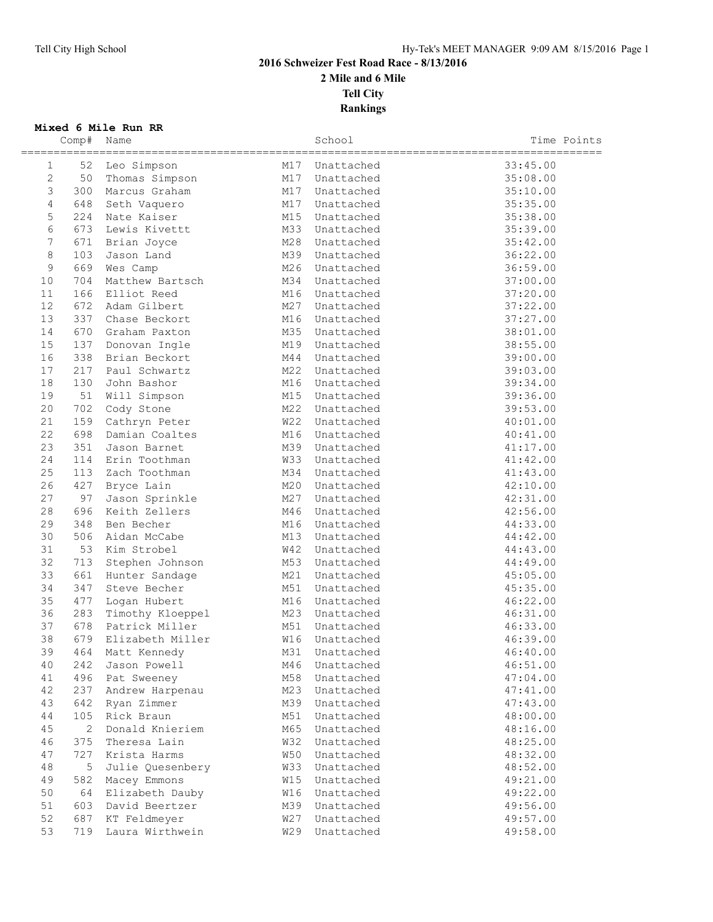## **2016 Schweizer Fest Road Race - 8/13/2016 2 Mile and 6 Mile Tell City Rankings**

**Mixed 6 Mile Run RR**

|                | Comp# | Name             |            | School     | Time Points |
|----------------|-------|------------------|------------|------------|-------------|
| 1              | 52    | Leo Simpson      | M17        | Unattached | 33:45.00    |
| 2              | 50    | Thomas Simpson   | M17        | Unattached | 35:08.00    |
| $\mathfrak{Z}$ | 300   | Marcus Graham    | M17        | Unattached | 35:10.00    |
| $\overline{4}$ | 648   | Seth Vaquero     | M17        | Unattached | 35:35.00    |
| 5              | 224   | Nate Kaiser      | M15        | Unattached | 35:38.00    |
| 6              | 673   | Lewis Kivettt    | M33        | Unattached | 35:39.00    |
| 7              | 671   | Brian Joyce      | M28        | Unattached | 35:42.00    |
| $\,8\,$        | 103   | Jason Land       | M39        | Unattached | 36:22.00    |
| 9              | 669   | Wes Camp         | M26        | Unattached | 36:59.00    |
| 10             | 704   | Matthew Bartsch  | M34        | Unattached | 37:00.00    |
| 11             | 166   | Elliot Reed      | M16        | Unattached | 37:20.00    |
| 12             | 672   | Adam Gilbert     | M27        | Unattached | 37:22.00    |
| 13             | 337   | Chase Beckort    | M16        | Unattached | 37:27.00    |
| 14             | 670   | Graham Paxton    | M35        | Unattached | 38:01.00    |
| 15             | 137   | Donovan Ingle    | M19        | Unattached | 38:55.00    |
| 16             | 338   | Brian Beckort    | M44        | Unattached | 39:00.00    |
| 17             | 217   | Paul Schwartz    | M22        | Unattached | 39:03.00    |
| 18             | 130   | John Bashor      | M16        | Unattached | 39:34.00    |
| 19             | 51    | Will Simpson     | M15        | Unattached | 39:36.00    |
| 20             | 702   | Cody Stone       | M22        | Unattached | 39:53.00    |
| 21             | 159   | Cathryn Peter    | <b>W22</b> | Unattached | 40:01.00    |
| 22             | 698   | Damian Coaltes   | M16        | Unattached | 40:41.00    |
| 23             | 351   | Jason Barnet     | M39        | Unattached | 41:17.00    |
| 24             | 114   | Erin Toothman    | <b>W33</b> | Unattached | 41:42.00    |
| 25             | 113   | Zach Toothman    | M34        | Unattached | 41:43.00    |
| 26             | 427   | Bryce Lain       | M20        | Unattached | 42:10.00    |
| 27             | 97    | Jason Sprinkle   | M27        | Unattached | 42:31.00    |
| 28             | 696   | Keith Zellers    | M46        | Unattached | 42:56.00    |
| 29             | 348   | Ben Becher       | M16        | Unattached | 44:33.00    |
| 30             | 506   | Aidan McCabe     | M13        | Unattached | 44:42.00    |
| 31             | 53    | Kim Strobel      | W42        | Unattached | 44:43.00    |
| 32             | 713   | Stephen Johnson  | M53        | Unattached | 44:49.00    |
| 33             | 661   | Hunter Sandage   | M21        | Unattached | 45:05.00    |
| 34             | 347   | Steve Becher     | M51        | Unattached | 45:35.00    |
| 35             | 477   | Logan Hubert     | M16        | Unattached | 46:22.00    |
| 36             | 283   | Timothy Kloeppel | M23        | Unattached | 46:31.00    |
| 37             | 678   | Patrick Miller   | M51        | Unattached | 46:33.00    |
| 38             | 679   | Elizabeth Miller | W16        | Unattached | 46:39.00    |
| 39             | 464   | Matt Kennedy     | M31        | Unattached | 46:40.00    |
| 40             | 242   | Jason Powell     | M46        | Unattached | 46:51.00    |
| 41             | 496   | Pat Sweeney      | M58        | Unattached | 47:04.00    |
| 42             | 237   | Andrew Harpenau  | M23        | Unattached | 47:41.00    |
| 43             | 642   | Ryan Zimmer      | M39        | Unattached | 47:43.00    |
| 44             | 105   | Rick Braun       | M51        | Unattached | 48:00.00    |
| 45             | 2     | Donald Knieriem  | M65        | Unattached | 48:16.00    |
| 46             | 375   | Theresa Lain     | <b>W32</b> | Unattached | 48:25.00    |
| 47             | 727   | Krista Harms     | W50        | Unattached | 48:32.00    |
| $4\,8$         | 5     | Julie Quesenbery | W33        | Unattached | 48:52.00    |
| 49             | 582   | Macey Emmons     | W15        | Unattached | 49:21.00    |
| 50             | 64    | Elizabeth Dauby  | <b>W16</b> | Unattached | 49:22.00    |
| 51             | 603   | David Beertzer   | M39        | Unattached | 49:56.00    |
| 52             | 687   | KT Feldmeyer     | <b>W27</b> | Unattached | 49:57.00    |
| 53             | 719   | Laura Wirthwein  | W29        | Unattached | 49:58.00    |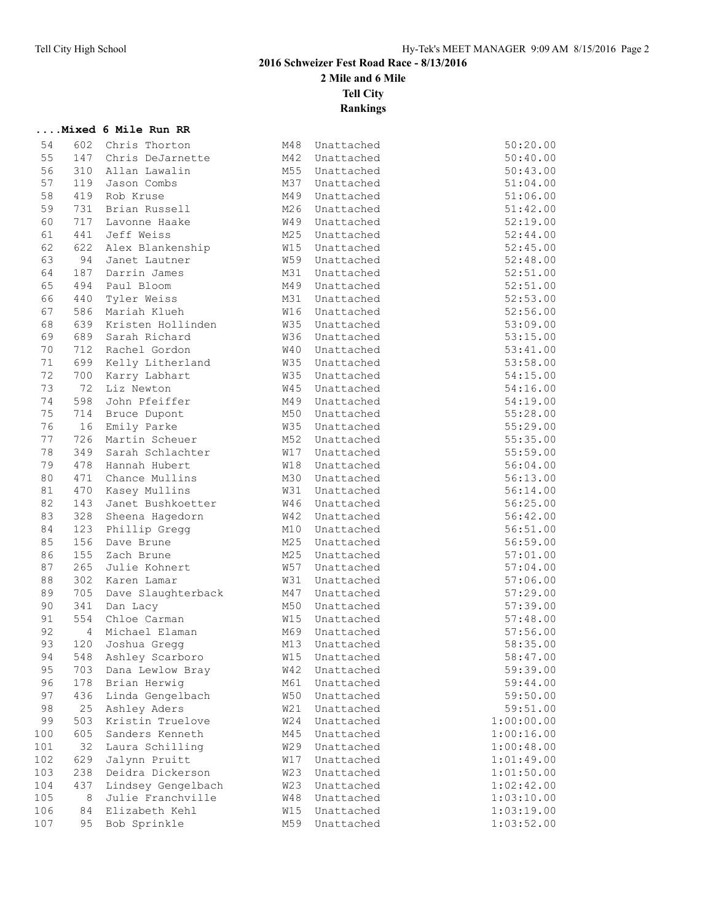**....Mixed 6 Mile Run RR**

**2016 Schweizer Fest Road Race - 8/13/2016**

**2 Mile and 6 Mile**

**Tell City**

**Rankings**

| 54       | 602        | Chris Thorton      | M48               | Unattached               | 50:20.00               |
|----------|------------|--------------------|-------------------|--------------------------|------------------------|
| 55       | 147        | Chris DeJarnette   | M42               | Unattached               | 50:40.00               |
| 56       | 310        | Allan Lawalin      | M55               | Unattached               | 50:43.00               |
| 57       | 119        | Jason Combs        | M37               | Unattached               | 51:04.00               |
| 58       | 419        | Rob Kruse          | M49               | Unattached               | 51:06.00               |
| 59       | 731        | Brian Russell      | M26               | Unattached               | 51:42.00               |
| 60       | 717        | Lavonne Haake      | W49               | Unattached               | 52:19.00               |
| 61       | 441        | Jeff Weiss         | M25               | Unattached               | 52:44.00               |
| 62       | 622        | Alex Blankenship   | <b>W15</b>        | Unattached               | 52:45.00               |
| 63       | 94         | Janet Lautner      | W59               | Unattached               | 52:48.00               |
| 64       | 187        | Darrin James       | M31               | Unattached               | 52:51.00               |
| 65       | 494        | Paul Bloom         | M49               | Unattached               | 52:51.00               |
| 66       | 440        | Tyler Weiss        | M31               | Unattached               | 52:53.00               |
| 67       | 586        | Mariah Klueh       | W16               | Unattached               | 52:56.00               |
| 68       | 639        | Kristen Hollinden  | W35               | Unattached               | 53:09.00               |
| 69       | 689        | Sarah Richard      | W36               | Unattached               | 53:15.00               |
| 70       | 712        | Rachel Gordon      |                   | W40 Unattached           | 53:41.00               |
| 71       | 699        | Kelly Litherland   |                   | W35 Unattached           | 53:58.00               |
| 72       | 700        | Karry Labhart      | W35               | Unattached               | 54:15.00               |
| 73       | 72         | Liz Newton         | <b>W45</b>        | Unattached               | 54:16.00               |
| 74       | 598        | John Pfeiffer      | M49               | Unattached               | 54:19.00               |
| 75       | 714        | Bruce Dupont       | M50               | Unattached               | 55:28.00               |
| 76       | 16         | Emily Parke        | W35               | Unattached               | 55:29.00               |
| 77       | 726        | Martin Scheuer     | M52               | Unattached               | 55:35.00               |
| 78       | 349        | Sarah Schlachter   | W17               | Unattached               | 55:59.00               |
| 79       | 478        | Hannah Hubert      | <b>W18</b>        | Unattached               | 56:04.00               |
| 80       | 471        | Chance Mullins     | M30               | Unattached               | 56:13.00               |
| 81       | 470        | Kasey Mullins      | <b>W31</b>        | Unattached               | 56:14.00               |
| 82       | 143        | Janet Bushkoetter  |                   | W46 Unattached           | 56:25.00               |
| 83       | 328        | Sheena Hagedorn    | <b>W42</b>        | Unattached               | 56:42.00               |
| 84       | 123        | Phillip Gregg      | M10               | Unattached               | 56:51.00               |
| 85       | 156        | Dave Brune         | M25               | Unattached               | 56:59.00               |
| 86       | 155        | Zach Brune         | M25               | Unattached               | 57:01.00               |
| 87       | 265        | Julie Kohnert      | <b>W57</b>        | Unattached               | 57:04.00               |
| 88       | 302        | Karen Lamar        | W31               | Unattached               | 57:06.00               |
| 89       | 705        | Dave Slaughterback | M47               | Unattached               | 57:29.00               |
|          |            |                    |                   |                          |                        |
| 90<br>91 | 341<br>554 | Dan Lacy           | M50<br><b>W15</b> | Unattached               | 57:39.00               |
| 92       |            | Chloe Carman       | M69               | Unattached               | 57:48.00               |
| 93       | 4          | Michael Elaman     |                   | Unattached<br>Unattached | 57:56.00               |
| 94       | 120<br>548 | Joshua Gregg       | M13<br>W15        |                          | 58:35.00               |
|          |            | Ashley Scarboro    |                   | Unattached               | 58:47.00<br>59:39.00   |
| 95       | 703        | Dana Lewlow Bray   | <b>W42</b>        | Unattached               |                        |
| 96       | 178        | Brian Herwig       | M61               | Unattached               | 59:44.00               |
| 97       | 436        | Linda Gengelbach   | W50               | Unattached               | 59:50.00               |
| 98       | 25         | Ashley Aders       | W21               | Unattached               | 59:51.00<br>1:00:00.00 |
| 99       | 503        | Kristin Truelove   | W24               | Unattached               |                        |
| 100      | 605        | Sanders Kenneth    | M45               | Unattached               | 1:00:16.00             |
| 101      | 32         | Laura Schilling    | W29               | Unattached               | 1:00:48.00             |
| 102      | 629        | Jalynn Pruitt      | W17               | Unattached               | 1:01:49.00             |
| 103      | 238        | Deidra Dickerson   | <b>W23</b>        | Unattached               | 1:01:50.00             |
| 104      | 437        | Lindsey Gengelbach | <b>W23</b>        | Unattached               | 1:02:42.00             |
| 105      | $\,8\,$    | Julie Franchville  | W48               | Unattached               | 1:03:10.00             |
| 106      | 84         | Elizabeth Kehl     | W15               | Unattached               | 1:03:19.00             |
| 107      | 95         | Bob Sprinkle       | M59               | Unattached               | 1:03:52.00             |